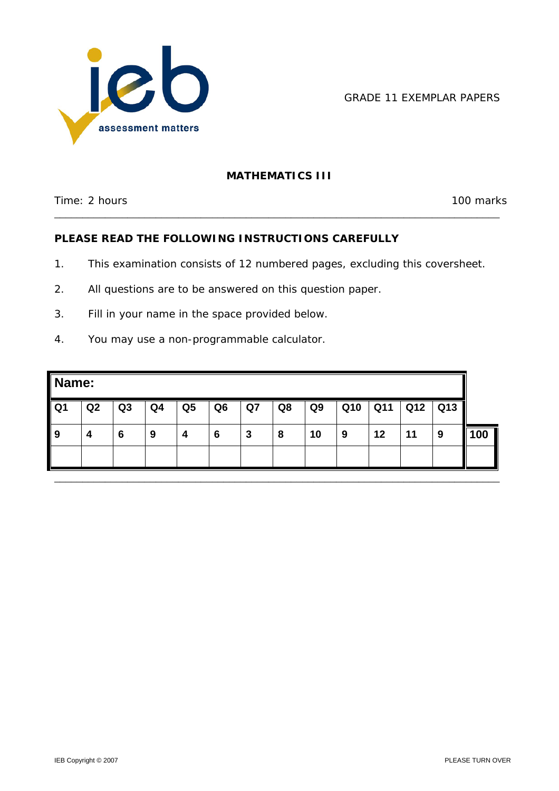

GRADE 11 EXEMPLAR PAPERS

# **MATHEMATICS III**

\_\_\_\_\_\_\_\_\_\_\_\_\_\_\_\_\_\_\_\_\_\_\_\_\_\_\_\_\_\_\_\_\_\_\_\_\_\_\_\_\_\_\_\_\_\_\_\_\_\_\_\_\_\_\_\_\_\_\_\_\_\_\_\_\_\_\_\_\_\_\_\_\_\_\_\_\_\_\_

Time: 2 hours 100 marks

## **PLEASE READ THE FOLLOWING INSTRUCTIONS CAREFULLY**

- 1. This examination consists of 12 numbered pages, excluding this coversheet.
- 2. All questions are to be answered on this question paper.
- 3. Fill in your name in the space provided below.
- 4. You may use a non-programmable calculator.

| Name:          |    |                |    |                |                |    |    |                |     |     |     |     |     |  |
|----------------|----|----------------|----|----------------|----------------|----|----|----------------|-----|-----|-----|-----|-----|--|
| Q <sub>1</sub> | Q2 | Q <sub>3</sub> | Q4 | Q <sub>5</sub> | Q <sub>6</sub> | Q7 | Q8 | Q <sub>9</sub> | Q10 | Q11 | Q12 | Q13 |     |  |
| 9              | 4  | 6              | 9  | 4              | 6              | 3  | 8  | 10             | 9   | 12  | 11  | 9   | 100 |  |
|                |    |                |    |                |                |    |    |                |     |     |     |     |     |  |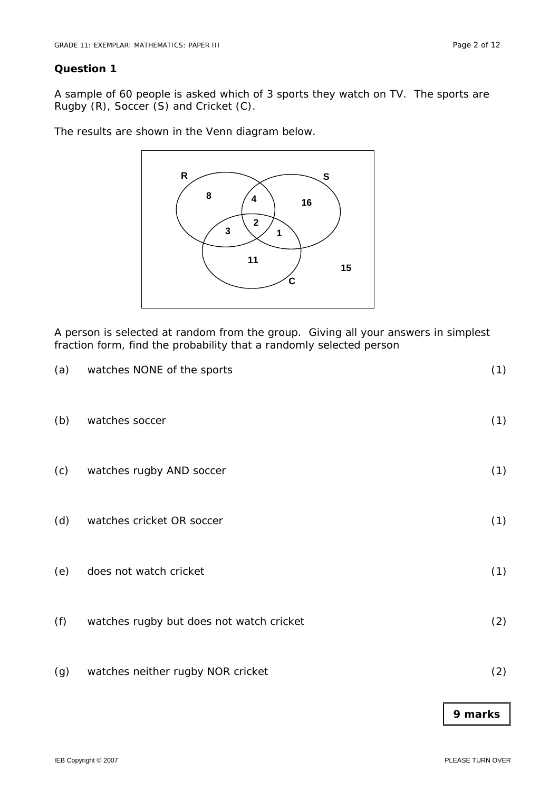A sample of 60 people is asked which of 3 sports they watch on TV. The sports are Rugby (R), Soccer (S) and Cricket (C).

The results are shown in the Venn diagram below.



A person is selected at random from the group. Giving all your answers in simplest fraction form, find the probability that a randomly selected person

| (a) | watches NONE of the sports               | (1) |
|-----|------------------------------------------|-----|
| (b) | watches soccer                           | (1) |
| (c) | watches rugby AND soccer                 | (1) |
| (d) | watches cricket OR soccer                | (1) |
| (e) | does not watch cricket                   | (1) |
| (f) | watches rugby but does not watch cricket | (2) |
| (g) | watches neither rugby NOR cricket        | (2) |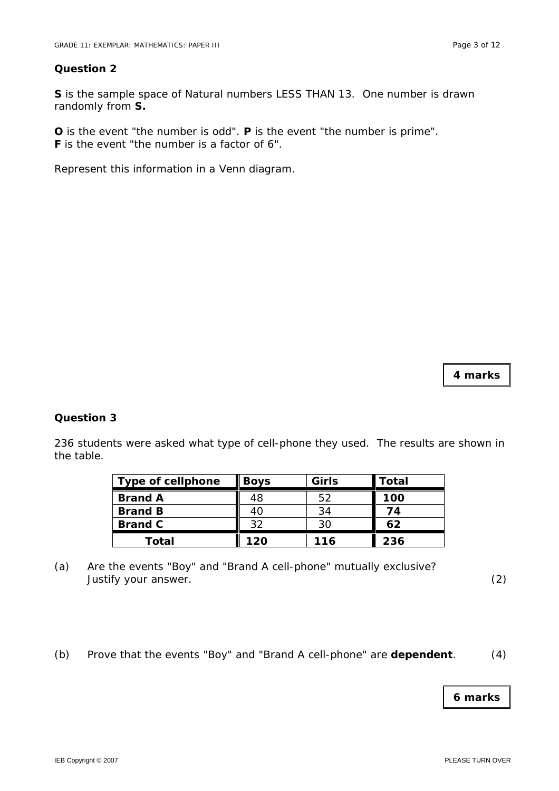**S** is the sample space of Natural numbers LESS THAN 13. One number is drawn randomly from **S.** 

**O** is the event "the number is odd". **P** is the event "the number is prime". **F** is the event "the number is a factor of 6".

Represent this information in a Venn diagram.

**4 marks** 

#### **Question 3**

236 students were asked what type of cell-phone they used. The results are shown in the table.

| <b>Type of cellphone</b> | <b>Boys</b> | Girls | Total |
|--------------------------|-------------|-------|-------|
| <b>Brand A</b>           | 48          | 52    | 100   |
| <b>Brand B</b>           | 40          | 34    | 74    |
| <b>Brand C</b>           | 32          | 30    | 62    |
| Total                    | 120         | 116   | 236   |

- (a) Are the events "Boy" and "Brand A cell-phone" mutually exclusive? Justify your answer. (2)
- (b) Prove that the events "Boy" and "Brand A cell-phone" are **dependent**. (4)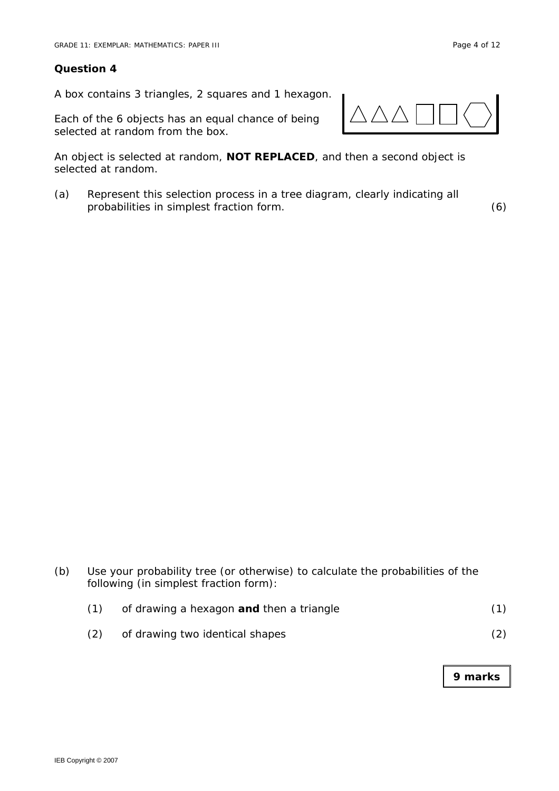A box contains 3 triangles, 2 squares and 1 hexagon.

Each of the 6 objects has an equal chance of being selected at random from the box.

An object is selected at random, **NOT REPLACED**, and then a second object is selected at random.

(a) Represent this selection process in a tree diagram, clearly indicating all probabilities in simplest fraction form. (6)

(b) Use your probability tree (or otherwise) to calculate the probabilities of the following (in simplest fraction form):

|  | of drawing a hexagon and then a triangle |  |
|--|------------------------------------------|--|
|  | of drawing two identical shapes          |  |

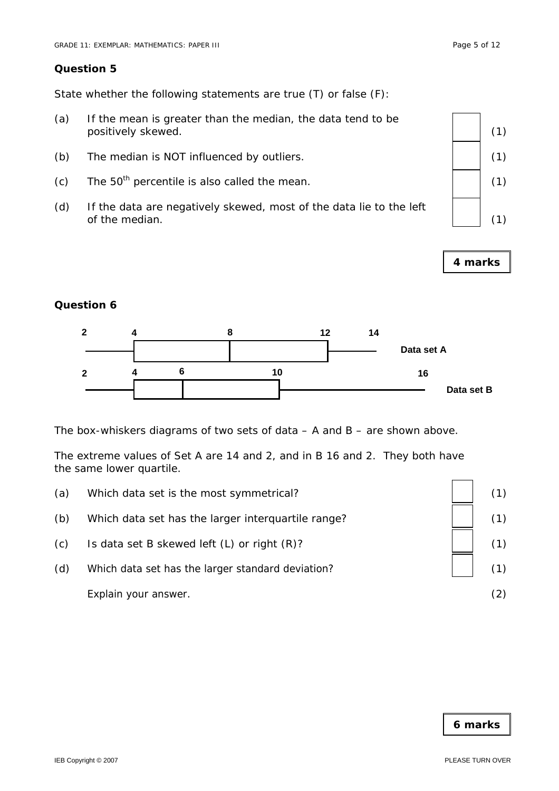State whether the following statements are true (T) or false (F):

- (a) If the mean is greater than the median, the data tend to be positively skewed.  $(1)$
- (b) The median is NOT influenced by outliers.  $(1)$  (1)
- (c) The 50<sup>th</sup> percentile is also called the mean.  $(1)$  (1)
- (d) If the data are negatively skewed, most of the data lie to the left of the median.  $(1)$



**4 marks** 

#### **Question 6**



The box-whiskers diagrams of two sets of data – A and B – are shown above.

The extreme values of Set A are 14 and 2, and in B 16 and 2. They both have the same lower quartile.

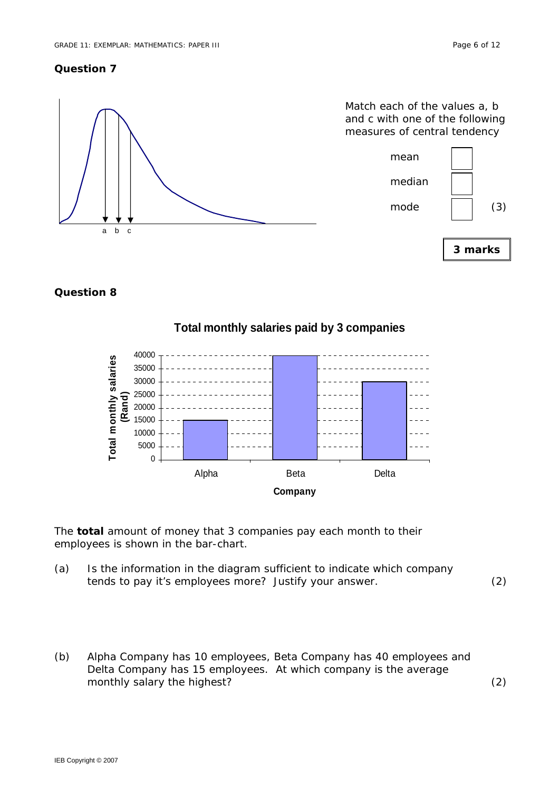

#### **Question 8**

# **Total monthly salaries paid by 3 companies**



The **total** amount of money that 3 companies pay each month to their employees is shown in the bar-chart.

(a) Is the information in the diagram sufficient to indicate which company tends to pay it's employees more? Justify your answer. (2)

(b) Alpha Company has 10 employees, Beta Company has 40 employees and Delta Company has 15 employees. At which company is the average monthly salary the highest? (2)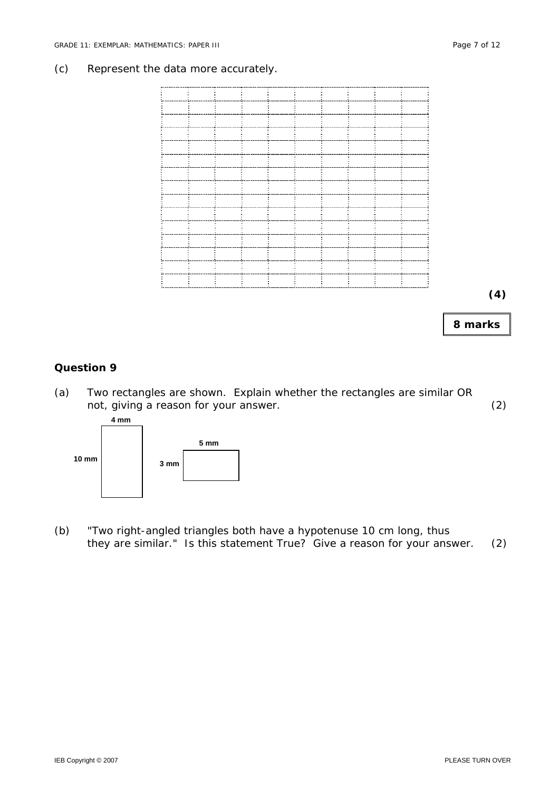#### (c) Represent the data more accurately.



**8 marks** 

#### **Question 9**

(a) Two rectangles are shown. Explain whether the rectangles are similar OR not, giving a reason for your answer. (2)



(b) "Two right-angled triangles both have a hypotenuse 10 cm long, thus they are similar." Is this statement True? Give a reason for your answer. (2)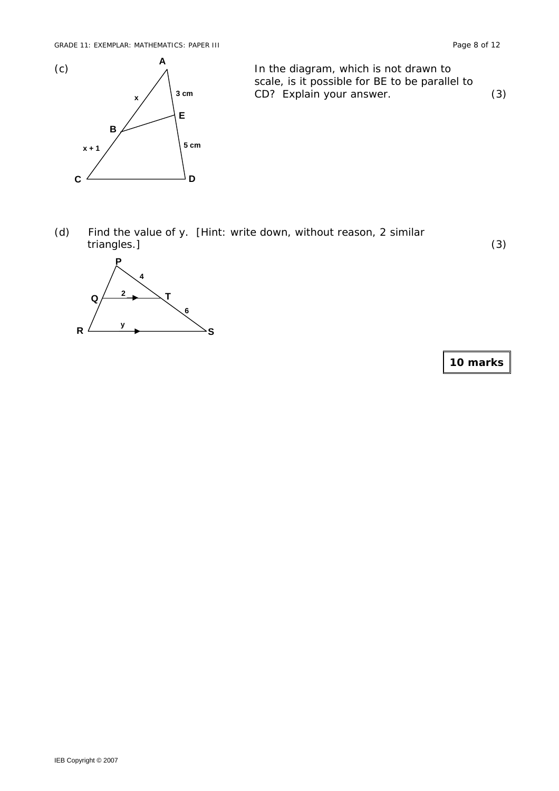

(c)  $A$  In the diagram, which is not drawn to scale, is it possible for BE to be parallel to CD? Explain your answer. (3)

(d) Find the value of y. [Hint: write down, without reason, 2 similar triangles.] (3)

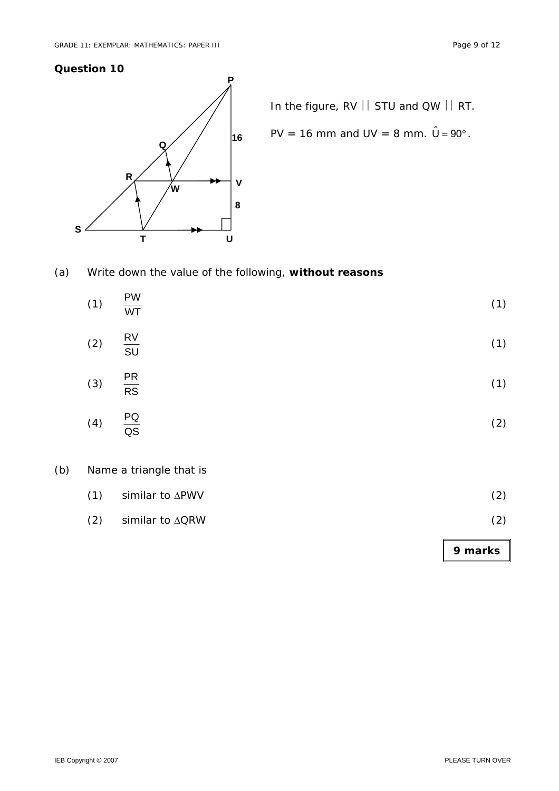

In the figure, RV | STU and QW | RT.

$$
\angle
$$
 |<sub>16</sub> PV = 16 mm and UV = 8 mm.  $\hat{U} = 90^{\circ}$ .

(a) Write down the value of the following, **without reasons**

| (1) | $\frac{PW}{WT}$ | (1) |
|-----|-----------------|-----|
| (2) | $rac{RV}{SU}$   | (1) |
| (3) | $rac{PR}{RS}$   | (1) |
| (4) | $rac{PQ}{QS}$   | (2) |
|     |                 |     |

# (b) Name a triangle that is

| $(1)$ similar to $\Delta$ PWV | (2) |  |
|-------------------------------|-----|--|
|                               |     |  |

# (2) similar to  $\triangle QRW$  (2)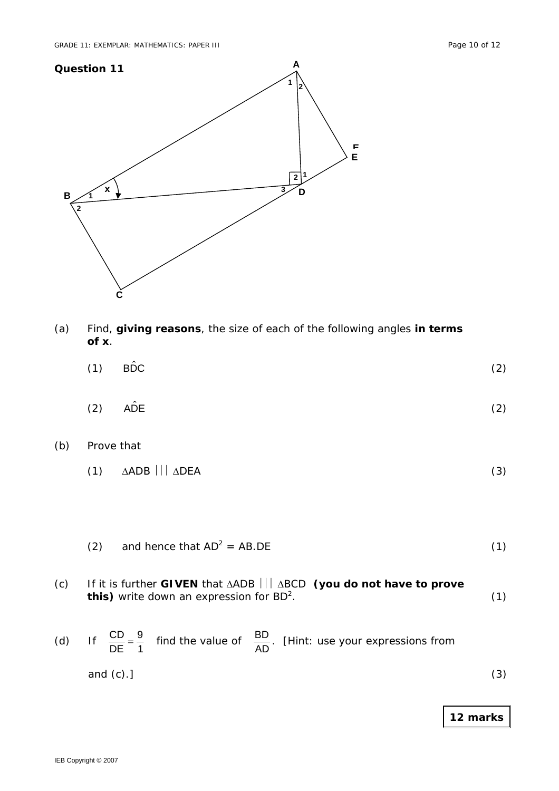

- (a) Find, **giving reasons**, the size of each of the following angles **in terms of x**.
- (1) BD $\hat{DC}$  (2)
- $(2)$  AD̂E (2)
- (b) Prove that

|  | $(1)$ $\Delta ADB$ $  $ $\Delta DEA$ |  |
|--|--------------------------------------|--|
|--|--------------------------------------|--|

- (2) and hence that  $AD^2 = AB \cdot DE$  (1)
- (c) If it is further **GIVEN** that ΔADB ⎪⎪⎪ ΔBCD **(you do not have to prove this)** write down an expression for  $BD^2$ .  $(1)$
- (d) If  $\frac{CD}{DE} = \frac{9}{1}$ DE  $\frac{CD}{CD} = \frac{9}{10}$  find the value of AD  $BD$  . [Hint: use your expressions from . and  $(c)$ .] (3)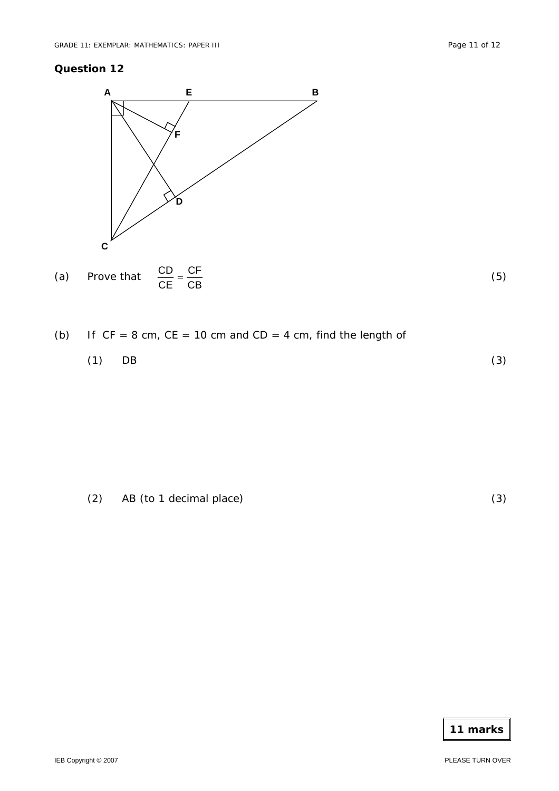



# (b) If  $CF = 8$  cm,  $CE = 10$  cm and  $CD = 4$  cm, find the length of

| $(1)$ DB | (3) |
|----------|-----|
|----------|-----|

(2) AB (to 1 decimal place) (3)